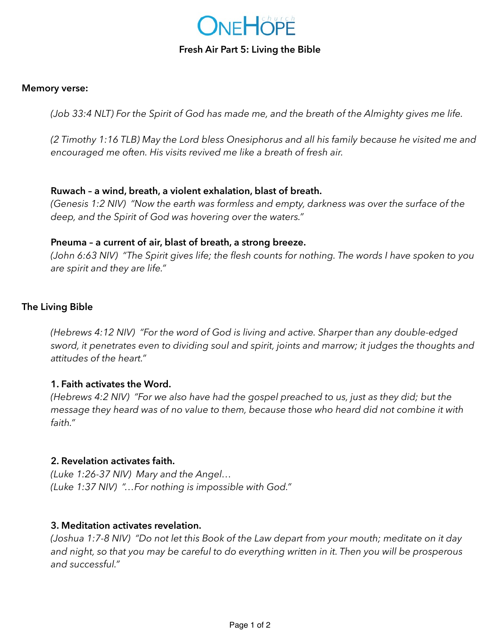

### **Fresh Air Part 5: Living the Bible**

#### **Memory verse:**

*(Job 33:4 NLT) For the Spirit of God has made me, and the breath of the Almighty gives me life.* 

*(2 Timothy 1:16 TLB) May the Lord bless Onesiphorus and all his family because he visited me and encouraged me often. His visits revived me like a breath of fresh air.* 

### **Ruwach – a wind, breath, a violent exhalation, blast of breath.**

*(Genesis 1:2 NIV) "Now the earth was formless and empty, darkness was over the surface of the deep, and the Spirit of God was hovering over the waters."* 

### **Pneuma – a current of air, blast of breath, a strong breeze.**

*(John 6:63 NIV) "The Spirit gives life; the flesh counts for nothing. The words I have spoken to you are spirit and they are life."* 

# **The Living Bible**

*(Hebrews 4:12 NIV) "For the word of God is living and active. Sharper than any double-edged sword, it penetrates even to dividing soul and spirit, joints and marrow; it judges the thoughts and attitudes of the heart."* 

# **1. Faith activates the Word.**

*(Hebrews 4:2 NIV) "For we also have had the gospel preached to us, just as they did; but the message they heard was of no value to them, because those who heard did not combine it with faith."* 

### **2. Revelation activates faith.**

*(Luke 1:26-37 NIV) Mary and the Angel… (Luke 1:37 NIV) "…For nothing is impossible with God."* 

### **3. Meditation activates revelation.**

*(Joshua 1:7-8 NIV) "Do not let this Book of the Law depart from your mouth; meditate on it day*  and night, so that you may be careful to do everything written in it. Then you will be prosperous *and successful."*